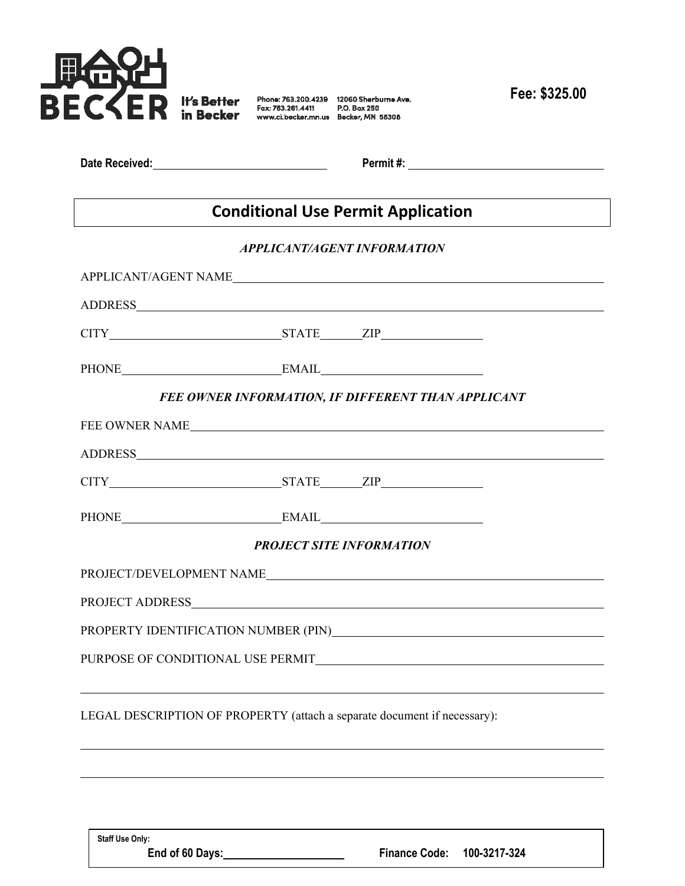

**Fee: \$325.00**

| Date Received: |  |  |
|----------------|--|--|
|                |  |  |

**Date Received: Permit #:** 

## **Conditional Use Permit Application**

## *APPLICANT/AGENT INFORMATION*

|                                                                          |                                                    | APPLICANT/AGENT NAME |  |
|--------------------------------------------------------------------------|----------------------------------------------------|----------------------|--|
|                                                                          |                                                    |                      |  |
| $CITY$ $STATE$ $ZIP$                                                     |                                                    |                      |  |
| PHONE EMAIL EMAIL                                                        |                                                    |                      |  |
|                                                                          | FEE OWNER INFORMATION, IF DIFFERENT THAN APPLICANT |                      |  |
| FEE OWNER NAME                                                           |                                                    |                      |  |
|                                                                          |                                                    |                      |  |
| $CITY$ $STATE$ $ZIP$                                                     |                                                    |                      |  |
|                                                                          |                                                    |                      |  |
|                                                                          | <b>PROJECT SITE INFORMATION</b>                    |                      |  |
|                                                                          |                                                    |                      |  |
|                                                                          |                                                    |                      |  |
|                                                                          |                                                    |                      |  |
|                                                                          |                                                    |                      |  |
|                                                                          |                                                    |                      |  |
| LEGAL DESCRIPTION OF PROPERTY (attach a separate document if necessary): |                                                    |                      |  |

**Staff Use Only:**